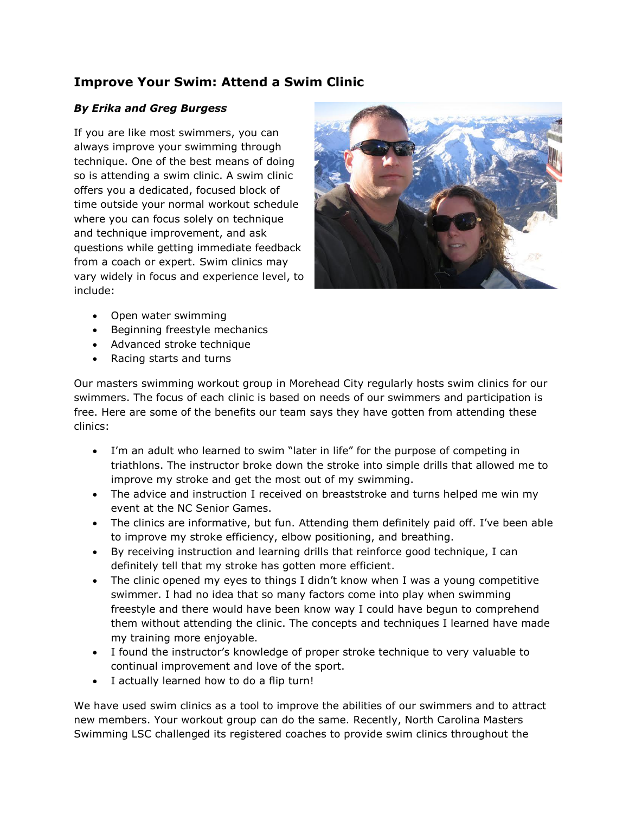## **Improve Your Swim: Attend a Swim Clinic**

## *By Erika and Greg Burgess*

If you are like most swimmers, you can always improve your swimming through technique. One of the best means of doing so is attending a swim clinic. A swim clinic offers you a dedicated, focused block of time outside your normal workout schedule where you can focus solely on technique and technique improvement, and ask questions while getting immediate feedback from a coach or expert. Swim clinics may vary widely in focus and experience level, to include:



- Open water swimming
- Beginning freestyle mechanics
- Advanced stroke technique
- Racing starts and turns

Our masters swimming workout group in Morehead City regularly hosts swim clinics for our swimmers. The focus of each clinic is based on needs of our swimmers and participation is free. Here are some of the benefits our team says they have gotten from attending these clinics:

- I'm an adult who learned to swim "later in life" for the purpose of competing in triathlons. The instructor broke down the stroke into simple drills that allowed me to improve my stroke and get the most out of my swimming.
- The advice and instruction I received on breaststroke and turns helped me win my event at the NC Senior Games.
- The clinics are informative, but fun. Attending them definitely paid off. I've been able to improve my stroke efficiency, elbow positioning, and breathing.
- By receiving instruction and learning drills that reinforce good technique, I can definitely tell that my stroke has gotten more efficient.
- The clinic opened my eyes to things I didn't know when I was a young competitive swimmer. I had no idea that so many factors come into play when swimming freestyle and there would have been know way I could have begun to comprehend them without attending the clinic. The concepts and techniques I learned have made my training more enjoyable.
- I found the instructor's knowledge of proper stroke technique to very valuable to continual improvement and love of the sport.
- I actually learned how to do a flip turn!

We have used swim clinics as a tool to improve the abilities of our swimmers and to attract new members. Your workout group can do the same. Recently, North Carolina Masters Swimming LSC challenged its registered coaches to provide swim clinics throughout the